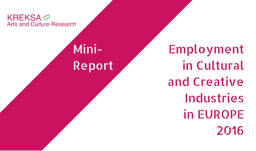**KREKSA Arts and Culture Research** 

## Mini-Report

Employment in Cultural and Creative Industries in EUROPE 2016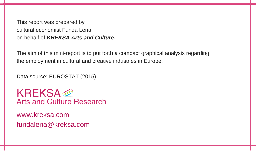This report was prepared by cultural economist Funda Lena on behalf of *KREKSA Arts and Culture.*

The aim of this mini-report is to put forth a compact graphical analysis regarding the employment in cultural and creative industries in Europe.

Data source: EUROSTAT (2015)

**KREKSA** Arts and Culture Research

www.kreksa.com fundalena@kreksa.com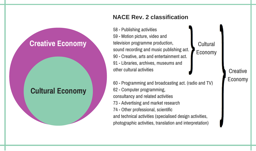### **Creative Economy**

#### **Cultural Economy**

58 - Publishing activities 59 - Motion picture, video and television programme production, sound recording and music publishing act. 90 - Creative, arts and entertainment act. 91 - Libraries, archives, museums and other cultural activities

**NACE Rev. 2 classification**

60 - Programming and broadcasting act. (radio and TV) 62 - Computer programming, consultancy and related activities 73 - Advertising and market research 74 - Other professional, scientific and technical activities (specialised design activities, photographic activities, translation and interpretation)

Economy

**Cultural** 

#### **Creative** Economy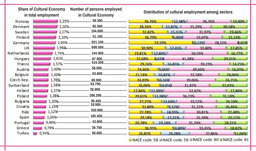|                 | Number of persons employed<br><b>Share of Cultural Economy</b><br>in total employment<br>in Cultural Economy   |        | Distribution of cultural employment among sectors |        |                  |
|-----------------|----------------------------------------------------------------------------------------------------------------|--------|---------------------------------------------------|--------|------------------|
| Norway          |                                                                                                                | 36.76% | 12.48%                                            | 36.76% | 14.00%           |
| Denmark         | 2,20%------------------------ 60.500---------------------------                                                | 28.26% | 15.87%                                            | 25.29% | 30.58%           |
| Sweden          |                                                                                                                | 32.82% | 15.55%                                            | 31.97% | 19.66%           |
| Finland         |                                                                                                                | 36.79% | 9.00%                                             | 33.07% | 21.14%           |
| Germany         |                                                                                                                |        | 53.59%                                            | 10.13% | 8.05%<br>28.23%  |
| UK              |                                                                                                                | 30.90% | 17,45%                                            | 33,80% | 17,85%           |
| Netherlands     |                                                                                                                | 19.81% | 12,84%                                            | 50.59% | 16,77%           |
| Hungary         |                                                                                                                | 22.68% | 6,63%                                             | 41.38% | 29.31%           |
| France          |                                                                                                                | 29.16% | 16.85%                                            | 39.23% | 14.75%           |
| Austria         |                                                                                                                | 24.66% | 9,66%                                             | 49.66% | 16.03%           |
| <b>Belgium</b>  |                                                                                                                | 21.54% | 16.82%                                            | 37.58% | 24.06%           |
| Czech Rep.      |                                                                                                                | 24.03% | 10.16%                                            | 39.06% | 26,75%           |
| Switzerland     |                                                                                                                | 26.06% | 10.05%                                            | 31.87% | 32.03%           |
| Ire land        |                                                                                                                | 17.84% | 11,90%                                            | 52,42% | 17,84%           |
| Poland          |                                                                                                                | 20.61% | 11.98%                                            | 36.23% | 31.18%           |
| <b>Bulgaria</b> |                                                                                                                | 27.75% | 12.64%                                            | 33.52% | 26,10%           |
| Croatia         | 1,19% 1,19% 18.900 1,19% 1.19% 1.19% 1.19% 1.19% 1.19% 1.19% 1.19% 1.19% 1.19% 1.19% 1.19% 1.19% 1.19% 1.19% 1 | 32.80% | 9.52%                                             | 31.22% | 26,46%           |
| Italy           |                                                                                                                | 27,78% | 18.93%                                            | 30,81% | 22,48%           |
| Spain           |                                                                                                                | 29.18% | 17.21%                                            | 31.50% | 22.11%           |
| Portugal        |                                                                                                                | 20.78% | 19.18%                                            | 31.74% | 28.31%           |
| Greece          |                                                                                                                | 36.93% | 10.80%                                            | 33.45% | 18.82%           |
| Turkey          |                                                                                                                | 26.82% | 24.28%                                            |        | 37.86%<br>11.04% |
|                 |                                                                                                                |        |                                                   |        | <b>COMPLIANT</b> |

**M** NACE code: 58 M NACE code: 59 M NACE code: 90 M NACE code: 91 |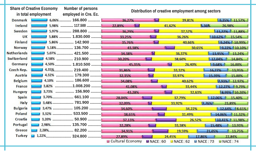| <b>Share of Creative Economy</b><br><b>Number of persons</b> |                  | Distribution of creative employment among sectors |         |              |                             |  |  |
|--------------------------------------------------------------|------------------|---------------------------------------------------|---------|--------------|-----------------------------|--|--|
| in total employment<br>employed in Cre. Ec.                  |                  |                                                   |         |              |                             |  |  |
| <b>Denmark</b>                                               | $6.06\%$ 166.800 | 36,27%                                            |         | 39.81%       | 9.35% 11.57%                |  |  |
| <b>Ireland</b>                                               | 5.98%  117.500   | 22.89%                                            |         | 41,62%       | 5,36%<br>26.98%             |  |  |
| Sweden                                                       | 5.97%  288.800   | 36.29%                                            |         | 37.57%       | 11.22% 11.88%               |  |  |
| UK                                                           | 5,88%  1.830.000 | 33.25%                                            |         | 36.26%       | 10.62%<br>15,54%            |  |  |
| Finland                                                      | 5,86%  142.900   | 35,76%                                            |         | 40.66%       | 9,24% 10,99%                |  |  |
| <b>Norway</b>                                                | 5,18% 136.700    | 43.38%                                            |         |              | 30.65%<br>9.22% 10.10%      |  |  |
| <b>Netherlands</b>                                           | 5.07%  421.500   | 34.38%                                            |         | 36.37%       | 13.24%<br>13,95%            |  |  |
| Switzerland                                                  | 4,58%  210.900   | 30.20%                                            |         | 38,60%       | 14,84%<br>12.04%            |  |  |
| Germany                                                      | 4,50% 1.810.500  | 45,35%                                            |         | 26,40%       | 9.68%<br>16,00%             |  |  |
| Czech Rep.                                                   |                  | 31.86%                                            |         | 33.32%       | 13.95%<br>16.27%            |  |  |
| Austria                                                      | 4,32%  179.300   | 32,35%                                            |         | 33.97%       | 15,39%<br>15,00%            |  |  |
| <b>Belgium</b>                                               | 4.10%  186.600   | 34.08%                                            |         | 40.62%       | 12,97%<br>7.93%             |  |  |
| France                                                       | 3,82% 1.008.200  | 41.08%                                            |         | 33.44%       | 12.27%<br>19,79%            |  |  |
| <b>Hungary</b>                                               | 3,73%  156.900   | 43,28%                                            |         |              | 8,99% 10,20%<br>32,63%      |  |  |
| <b>Spain</b>                                                 |                  | 28.04%                                            |         | 37.79%       | 12.06%<br>15,40%            |  |  |
| Italy                                                        | 3.48% 781.900    | 32.09%                                            |         | 33.92%       | 7.76%<br>23.89%             |  |  |
| <b>Bulgaria</b>                                              | 3.47%  105.200   | 34.60%                                            |         | 34.22%       | 12.64%<br>8,65%             |  |  |
| Poland                                                       |                  | 38.65%                                            |         | 31.49%       | 14.06%<br>11,32%            |  |  |
| Croatia                                                      |                  | 37,13%                                            |         |              | 26,52%<br>11,98%<br>10,41%  |  |  |
| Portugal                                                     | 2.98% 135.700    | 32.28%                                            |         | 33.38%       | 15.48%<br>13,93%            |  |  |
| Greece                                                       |                  | 34.91%                                            |         | 19.59%       | 21.05%<br>13,75%            |  |  |
| Turkey                                                       |                  | 27.89%                                            |         | 24.45%       | 22.84%<br>17.86%            |  |  |
|                                                              |                  | <b>El</b> Cultural Economy                        | MACE:60 | $M$ NACE: 62 | M NACE : 73<br>$M$ NACE: 74 |  |  |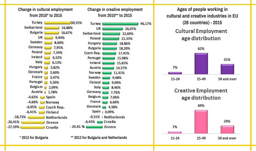

**Ages of people working in cultural and creative industries in EU (28 countries) - 2015Cultural Employment** age distribution





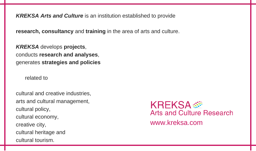*KREKSA Arts and Culture* is an institution established to provide

**research, consultancy** and **training** in the area of arts and culture.

*KREKSA* develops **projects**, conducts **research and analyses**, generates **strategies and policies**

related to

cultural and creative industries, arts and cultural management, cultural policy, cultural economy, creative city, cultural heritage and cultural tourism.